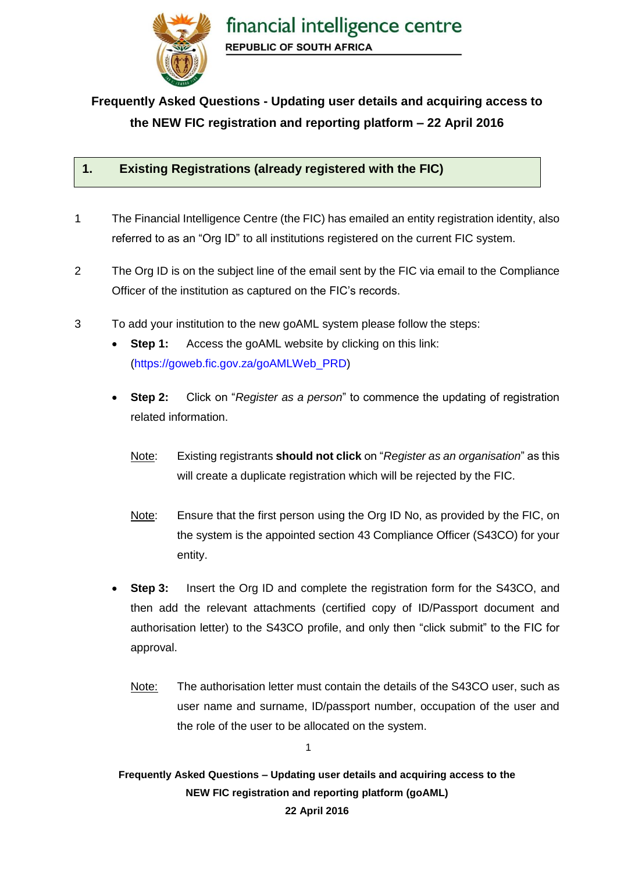

# **Frequently Asked Questions - Updating user details and acquiring access to the NEW FIC registration and reporting platform – 22 April 2016**

#### **1. Existing Registrations (already registered with the FIC)**

- 1 The Financial Intelligence Centre (the FIC) has emailed an entity registration identity, also referred to as an "Org ID" to all institutions registered on the current FIC system.
- 2 The Org ID is on the subject line of the email sent by the FIC via email to the Compliance Officer of the institution as captured on the FIC's records.
- 3 To add your institution to the new goAML system please follow the steps:
	- **Step 1:** Access the goAML website by clicking on this link: [\(https://goweb.fic.gov.za/goAMLWeb\\_PRD\)](https://goweb.fic.gov.za/goAMLWeb_PRD)
	- **Step 2:** Click on "*Register as a person*" to commence the updating of registration related information.
		- Note: Existing registrants **should not click** on "*Register as an organisation*" as this will create a duplicate registration which will be rejected by the FIC.
		- Note: Ensure that the first person using the Org ID No, as provided by the FIC, on the system is the appointed section 43 Compliance Officer (S43CO) for your entity.
	- **Step 3:** Insert the Org ID and complete the registration form for the S43CO, and then add the relevant attachments (certified copy of ID/Passport document and authorisation letter) to the S43CO profile, and only then "click submit" to the FIC for approval.
		- Note: The authorisation letter must contain the details of the S43CO user, such as user name and surname, ID/passport number, occupation of the user and the role of the user to be allocated on the system.

**Frequently Asked Questions – Updating user details and acquiring access to the NEW FIC registration and reporting platform (goAML)**

1

#### **22 April 2016**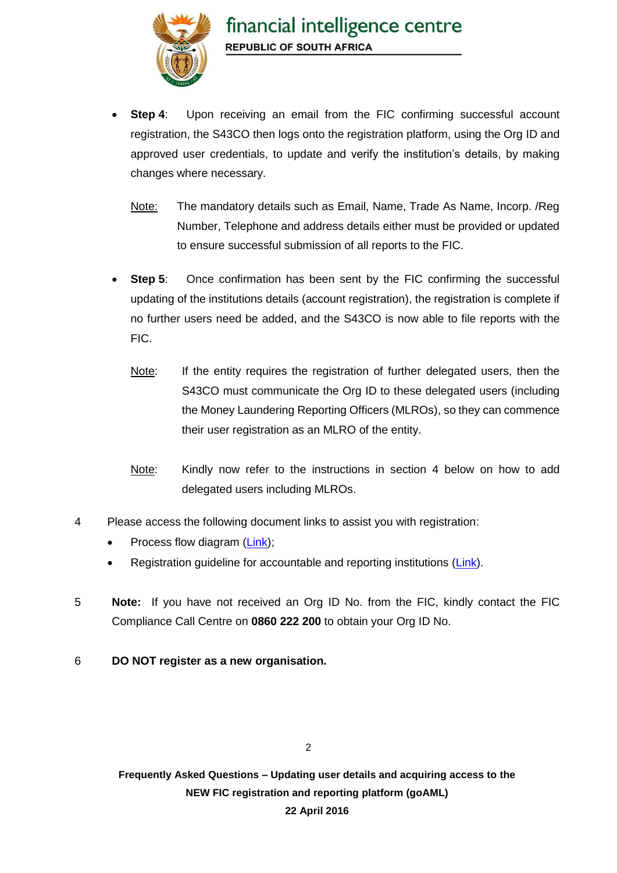

- **Step 4:** Upon receiving an email from the FIC confirming successful account registration, the S43CO then logs onto the registration platform, using the Org ID and approved user credentials, to update and verify the institution's details, by making changes where necessary.
	- Note: The mandatory details such as Email, Name, Trade As Name, Incorp. /Reg Number, Telephone and address details either must be provided or updated to ensure successful submission of all reports to the FIC.
- **Step 5:** Once confirmation has been sent by the FIC confirming the successful updating of the institutions details (account registration), the registration is complete if no further users need be added, and the S43CO is now able to file reports with the FIC.
	- Note: If the entity requires the registration of further delegated users, then the S43CO must communicate the Org ID to these delegated users (including the Money Laundering Reporting Officers (MLROs), so they can commence their user registration as an MLRO of the entity.
	- Note: Kindly now refer to the instructions in section 4 below on how to add delegated users including MLROs.
- 4 Please access the following document links to assist you with registration:
	- Process flow diagram [\(Link\)](https://www.fic.gov.za/DownloadContent/NEWS/PRESSRELEASE/goAMLNews/Registration%20Take-on%20Process%20v1%201.pdf);
	- Registration guideline for accountable and reporting institutions [\(Link\)](https://www.fic.gov.za/DownloadContent/NEWS/PRESSRELEASE/goAMLNews/goAML%20Registration%20AIRI.pdf).
- 5 **Note:** If you have not received an Org ID No. from the FIC, kindly contact the FIC Compliance Call Centre on **0860 222 200** to obtain your Org ID No.
- 6 **DO NOT register as a new organisation.**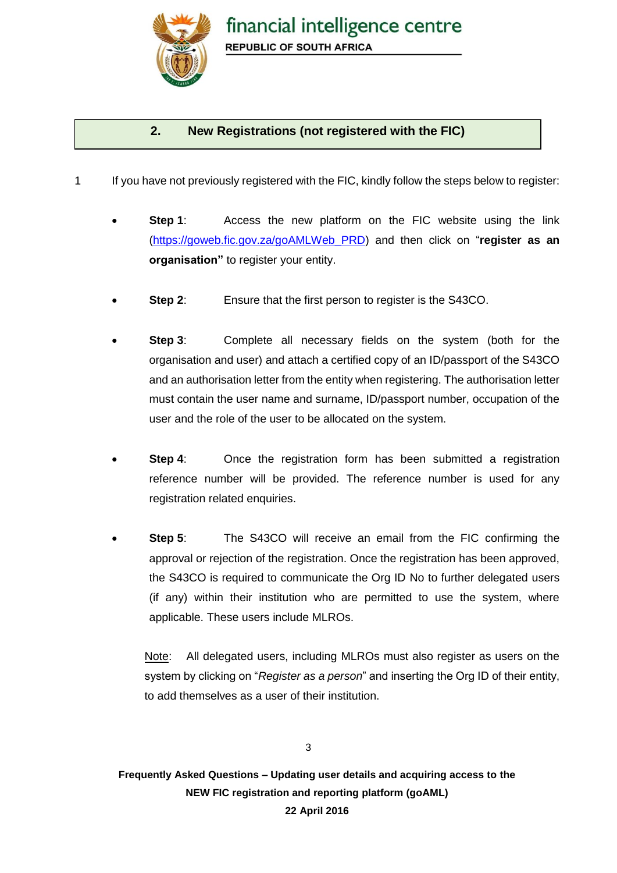

## **2. New Registrations (not registered with the FIC)**

- 1 If you have not previously registered with the FIC, kindly follow the steps below to register:
	- **Step 1:** Access the new platform on the FIC website using the link [\(https://goweb.fic.gov.za/goAMLWeb\\_PRD\)](https://goweb.fic.gov.za/goAMLWeb_PRD) and then click on "**register as an organisation"** to register your entity.
	- **Step 2**: Ensure that the first person to register is the S43CO.
	- **Step 3**: Complete all necessary fields on the system (both for the organisation and user) and attach a certified copy of an ID/passport of the S43CO and an authorisation letter from the entity when registering. The authorisation letter must contain the user name and surname, ID/passport number, occupation of the user and the role of the user to be allocated on the system.
	- **Step 4:** Once the registration form has been submitted a registration reference number will be provided. The reference number is used for any registration related enquiries.
	- **Step 5:** The S43CO will receive an email from the FIC confirming the approval or rejection of the registration. Once the registration has been approved, the S43CO is required to communicate the Org ID No to further delegated users (if any) within their institution who are permitted to use the system, where applicable. These users include MLROs.

Note: All delegated users, including MLROs must also register as users on the system by clicking on "*Register as a person*" and inserting the Org ID of their entity, to add themselves as a user of their institution.

3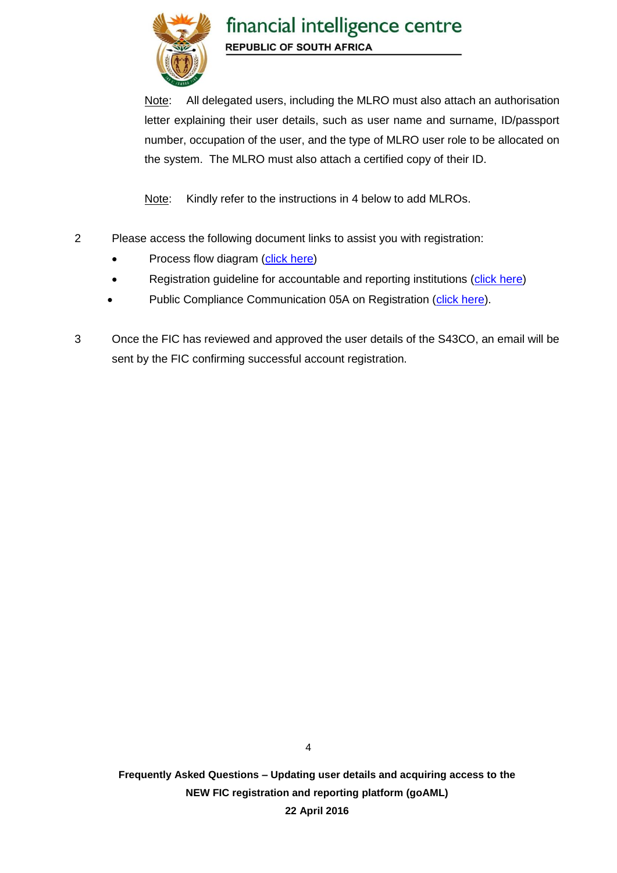

Note: All delegated users, including the MLRO must also attach an authorisation letter explaining their user details, such as user name and surname, ID/passport number, occupation of the user, and the type of MLRO user role to be allocated on the system. The MLRO must also attach a certified copy of their ID.

Note: Kindly refer to the instructions in 4 below to add MLROs.

- 2 Please access the following document links to assist you with registration:
	- Process flow diagram [\(click here\)](https://www.fic.gov.za/DownloadContent/NEWS/PRESSRELEASE/goAMLNews/Registration%20Take-on%20Process%20v1%201.pdf)
	- Registration guideline for accountable and reporting institutions [\(click here\)](https://www.fic.gov.za/DownloadContent/NEWS/PRESSRELEASE/goAMLNews/goAML%20Registration%20AIRI.pdf)
	- Public Compliance Communication 05A on Registration [\(click here\)](http://www.fic.gov.za/DownloadContent/NEWS/PRESSRELEASE/160330%20PCC05A%20web%20note%20(final)5.pdf).
- 3 Once the FIC has reviewed and approved the user details of the S43CO, an email will be sent by the FIC confirming successful account registration.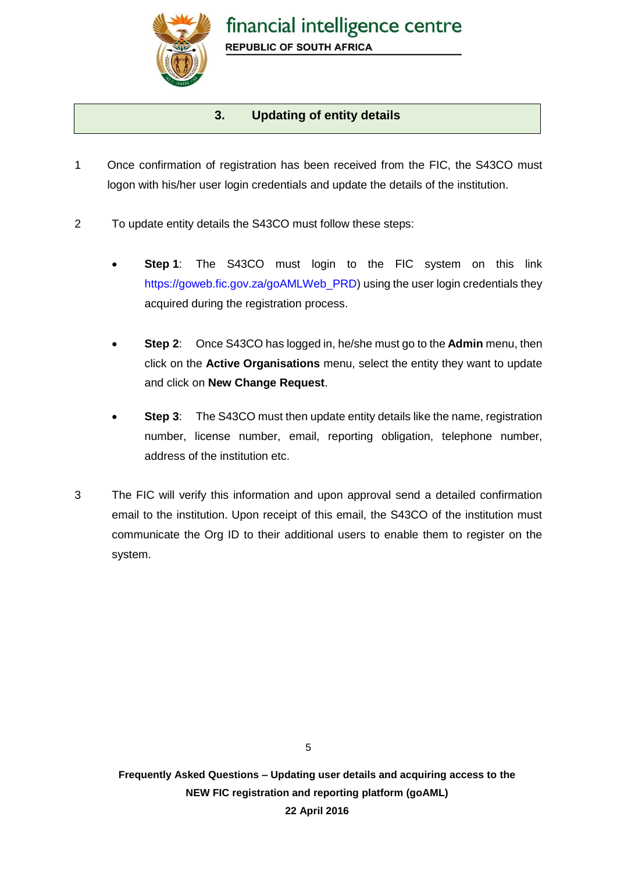

### **3. Updating of entity details**

- 1 Once confirmation of registration has been received from the FIC, the S43CO must logon with his/her user login credentials and update the details of the institution.
- 2 To update entity details the S43CO must follow these steps:
	- Step 1: The S43CO must login to the FIC system on this link [https://goweb.fic.gov.za/goAMLWeb\\_PRD\)](https://goweb.fic.gov.za/goAMLWeb_PRD) using the user login credentials they acquired during the registration process.
	- **Step 2**: Once S43CO has logged in, he/she must go to the **Admin** menu, then click on the **Active Organisations** menu, select the entity they want to update and click on **New Change Request**.
	- **Step 3**: The S43CO must then update entity details like the name, registration number, license number, email, reporting obligation, telephone number, address of the institution etc.
- 3 The FIC will verify this information and upon approval send a detailed confirmation email to the institution. Upon receipt of this email, the S43CO of the institution must communicate the Org ID to their additional users to enable them to register on the system.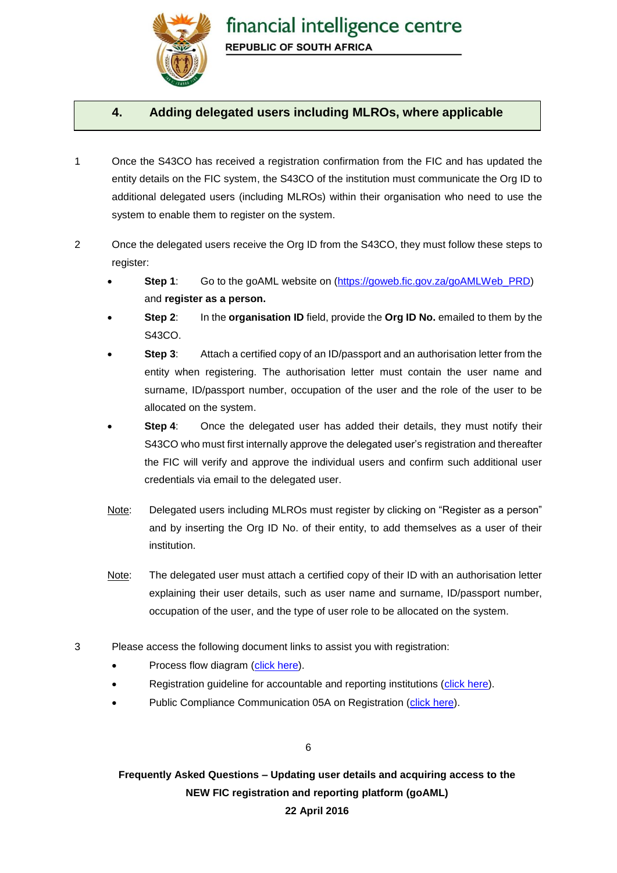

#### **4. Adding delegated users including MLROs, where applicable**

- 1 Once the S43CO has received a registration confirmation from the FIC and has updated the entity details on the FIC system, the S43CO of the institution must communicate the Org ID to additional delegated users (including MLROs) within their organisation who need to use the system to enable them to register on the system.
- 2 Once the delegated users receive the Org ID from the S43CO, they must follow these steps to register:
	- **Step 1**: Go to the goAML website on [\(https://goweb.fic.gov.za/goAMLWeb\\_PRD\)](https://goweb.fic.gov.za/goAMLWeb_PRD) and **register as a person.**
	- **Step 2**: In the **organisation ID** field, provide the **Org ID No.** emailed to them by the S43CO.
	- **Step 3**: Attach a certified copy of an ID/passport and an authorisation letter from the entity when registering. The authorisation letter must contain the user name and surname, ID/passport number, occupation of the user and the role of the user to be allocated on the system.
	- **Step 4:** Once the delegated user has added their details, they must notify their S43CO who must first internally approve the delegated user's registration and thereafter the FIC will verify and approve the individual users and confirm such additional user credentials via email to the delegated user.
	- Note: Delegated users including MLROs must register by clicking on "Register as a person" and by inserting the Org ID No. of their entity, to add themselves as a user of their institution.
	- Note: The delegated user must attach a certified copy of their ID with an authorisation letter explaining their user details, such as user name and surname, ID/passport number, occupation of the user, and the type of user role to be allocated on the system.
- 3 Please access the following document links to assist you with registration:
	- Process flow diagram [\(click](https://www.fic.gov.za/DownloadContent/NEWS/PRESSRELEASE/goAMLNews/Registration%20Take-on%20Process%20v1%201.pdf) here).
	- Registration guideline for accountable and reporting institutions [\(click here\)](https://www.fic.gov.za/DownloadContent/NEWS/PRESSRELEASE/goAMLNews/goAML%20Registration%20AIRI.pdf).
	- Public Compliance Communication 05A on Registration [\(click here\)](http://www.fic.gov.za/DownloadContent/NEWS/PRESSRELEASE/160330%20PCC05A%20web%20note%20(final)5.pdf).

6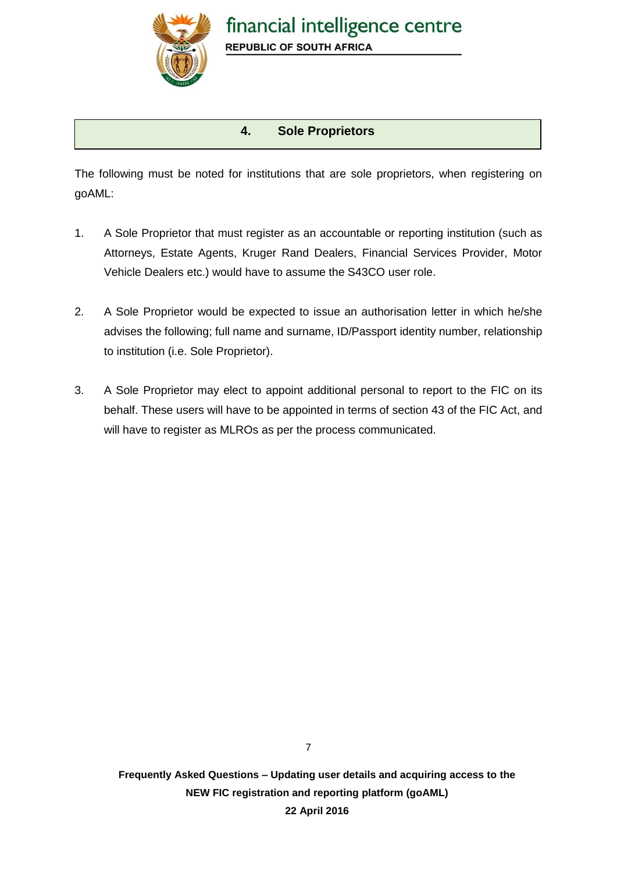

## **4. Sole Proprietors**

The following must be noted for institutions that are sole proprietors, when registering on goAML:

- 1. A Sole Proprietor that must register as an accountable or reporting institution (such as Attorneys, Estate Agents, Kruger Rand Dealers, Financial Services Provider, Motor Vehicle Dealers etc.) would have to assume the S43CO user role.
- 2. A Sole Proprietor would be expected to issue an authorisation letter in which he/she advises the following; full name and surname, ID/Passport identity number, relationship to institution (i.e. Sole Proprietor).
- 3. A Sole Proprietor may elect to appoint additional personal to report to the FIC on its behalf. These users will have to be appointed in terms of section 43 of the FIC Act, and will have to register as MLROs as per the process communicated.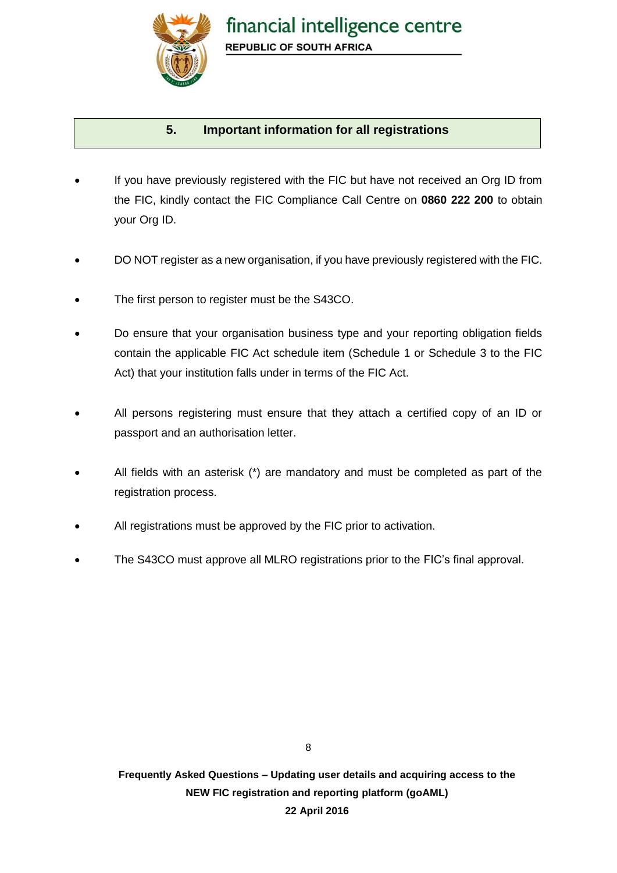

## **5. Important information for all registrations**

- If you have previously registered with the FIC but have not received an Org ID from the FIC, kindly contact the FIC Compliance Call Centre on **0860 222 200** to obtain your Org ID.
- DO NOT register as a new organisation, if you have previously registered with the FIC.
- The first person to register must be the S43CO.
- Do ensure that your organisation business type and your reporting obligation fields contain the applicable FIC Act schedule item (Schedule 1 or Schedule 3 to the FIC Act) that your institution falls under in terms of the FIC Act.
- All persons registering must ensure that they attach a certified copy of an ID or passport and an authorisation letter.
- All fields with an asterisk (\*) are mandatory and must be completed as part of the registration process.
- All registrations must be approved by the FIC prior to activation.
- The S43CO must approve all MLRO registrations prior to the FIC's final approval.